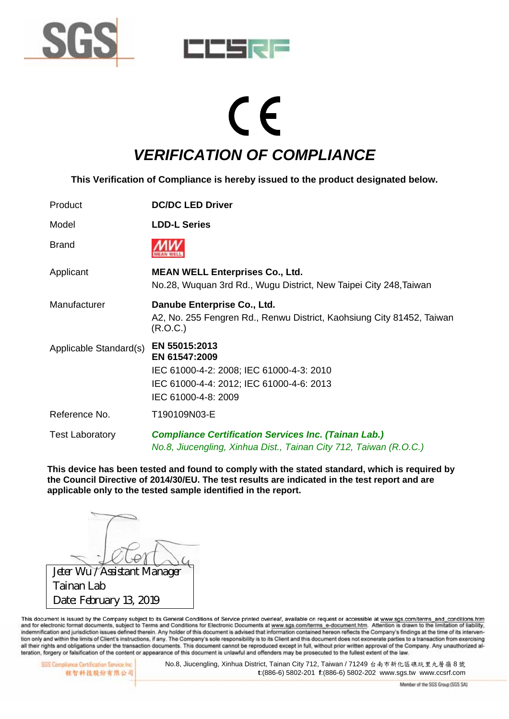



## $\epsilon$ *VERIFICATION OF COMPLIANCE*

**This Verification of Compliance is hereby issued to the product designated below.** 

| Product                | <b>DC/DC LED Driver</b>                                                                                                                       |
|------------------------|-----------------------------------------------------------------------------------------------------------------------------------------------|
| Model                  | <b>LDD-L Series</b>                                                                                                                           |
| <b>Brand</b>           |                                                                                                                                               |
| Applicant              | <b>MEAN WELL Enterprises Co., Ltd.</b><br>No.28, Wuquan 3rd Rd., Wugu District, New Taipei City 248, Taiwan                                   |
| Manufacturer           | Danube Enterprise Co., Ltd.<br>A2, No. 255 Fengren Rd., Renwu District, Kaohsiung City 81452, Taiwan<br>(R.O.C.)                              |
| Applicable Standard(s) | EN 55015:2013<br>EN 61547:2009<br>IEC 61000-4-2: 2008; IEC 61000-4-3: 2010<br>IEC 61000-4-4: 2012; IEC 61000-4-6: 2013<br>IEC 61000-4-8: 2009 |
| Reference No.          | T190109N03-E                                                                                                                                  |
| <b>Test Laboratory</b> | <b>Compliance Certification Services Inc. (Tainan Lab.)</b><br>No.8, Jiucengling, Xinhua Dist., Tainan City 712, Taiwan (R.O.C.)              |

**This device has been tested and found to comply with the stated standard, which is required by the Council Directive of 2014/30/EU. The test results are indicated in the test report and are applicable only to the tested sample identified in the report.** 

Jeter Wu / Assistant Manager Tainan Lab Date: February 13, 2019

This document is issued by the Company subject to its General Conditions of Service printed overleaf, available on request or accessible at www.sgs.com/terms\_and\_conditions.htm and for electronic format documents, subject to Terms and Conditions for Electronic Documents at www.sgs.com/terms\_e-document.htm. Attention is drawn to the limitation of liability, indemnification and jurisdiction issues defined therein. Any holder of this document is advised that information contained hereon reflects the Company's findings at the time of its intervention only and within the limits of Client's instructions, if any. The Company's sole responsibility is to its Client and this document does not exonerate parties to a transaction from exercising all their rights and obligations under the transaction documents. This document cannot be reproduced except in full, without prior written approval of the Company. Any unauthorized alteration, forgery or falsification of t

SGS Compliance Certification Service Inc. 程智科技最份有限公司 No.8, Jiucengling, Xinhua District, Tainan City 712, Taiwan / 71249 台南市新化區礁坑里九層嶺 8 號 **t**:(886-6) 5802-201 **f**:(886-6) 5802-202 www.sgs.tw www.ccsrf.com